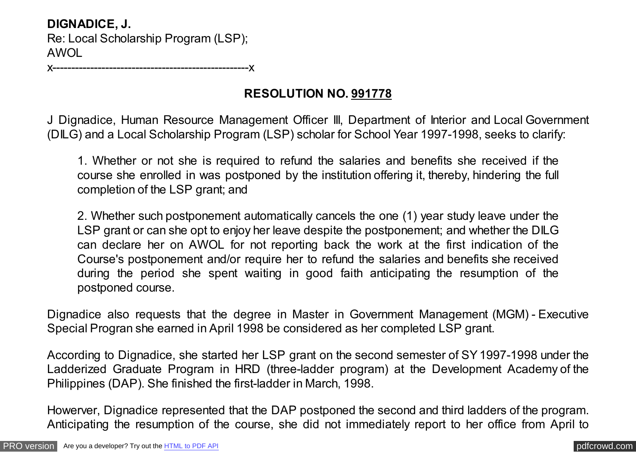**DIGNADICE, J.** Re: Local Scholarship Program (LSP); AWOL

x----------------------------------------------------x

## **RESOLUTION NO. 991778**

J Dignadice, Human Resource Management Officer III, Department of Interior and Local Government (DILG) and a Local Scholarship Program (LSP) scholar for School Year 1997-1998, seeks to clarify:

1. Whether or not she is required to refund the salaries and benefits she received if the course she enrolled in was postponed by the institution offering it, thereby, hindering the full completion of the LSP grant; and

2. Whether such postponement automatically cancels the one (1) year study leave under the LSP grant or can she opt to enjoy her leave despite the postponement; and whether the DILG can declare her on AWOL for not reporting back the work at the first indication of the Course's postponement and/or require her to refund the salaries and benefits she received during the period she spent waiting in good faith anticipating the resumption of the postponed course.

Dignadice also requests that the degree in Master in Government Management (MGM) - Executive Special Progran she earned in April 1998 be considered as her completed LSP grant.

According to Dignadice, she started her LSP grant on the second semester of SY 1997-1998 under the Ladderized Graduate Program in HRD (three-ladder program) at the Development Academy of the Philippines (DAP). She finished the first-ladder in March, 1998.

Howerver, Dignadice represented that the DAP postponed the second and third ladders of the program. Anticipating the resumption of the course, she did not immediately report to her office from April to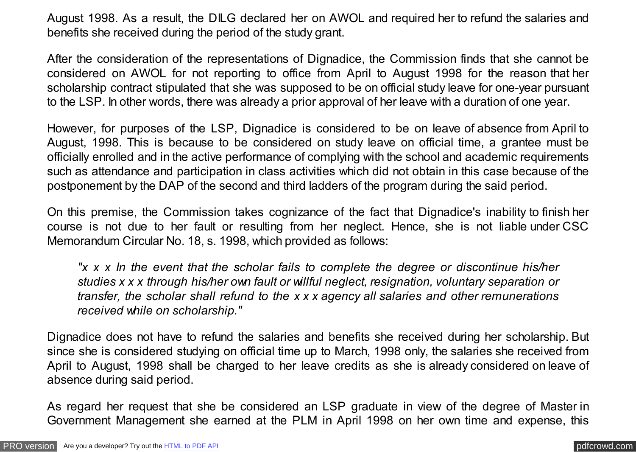August 1998. As a result, the DILG declared her on AWOL and required her to refund the salaries and benefits she received during the period of the study grant.

After the consideration of the representations of Dignadice, the Commission finds that she cannot be considered on AWOL for not reporting to office from April to August 1998 for the reason that her scholarship contract stipulated that she was supposed to be on official study leave for one-year pursuant to the LSP. In other words, there was already a prior approval of her leave with a duration of one year.

However, for purposes of the LSP, Dignadice is considered to be on leave of absence from April to August, 1998. This is because to be considered on study leave on official time, a grantee must be officially enrolled and in the active performance of complying with the school and academic requirements such as attendance and participation in class activities which did not obtain in this case because of the postponement by the DAP of the second and third ladders of the program during the said period.

On this premise, the Commission takes cognizance of the fact that Dignadice's inability to finish her course is not due to her fault or resulting from her neglect. Hence, she is not liable under CSC Memorandum Circular No. 18, s. 1998, which provided as follows:

*"x x x In the event that the scholar fails to complete the degree or discontinue his/her studies x x x through his/her own fault or willful neglect, resignation, voluntary separation or transfer, the scholar shall refund to the x x x agency all salaries and other remunerations received while on scholarship."*

Dignadice does not have to refund the salaries and benefits she received during her scholarship. But since she is considered studying on official time up to March, 1998 only, the salaries she received from April to August, 1998 shall be charged to her leave credits as she is already considered on leave of absence during said period.

As regard her request that she be considered an LSP graduate in view of the degree of Master in Government Management she earned at the PLM in April 1998 on her own time and expense, this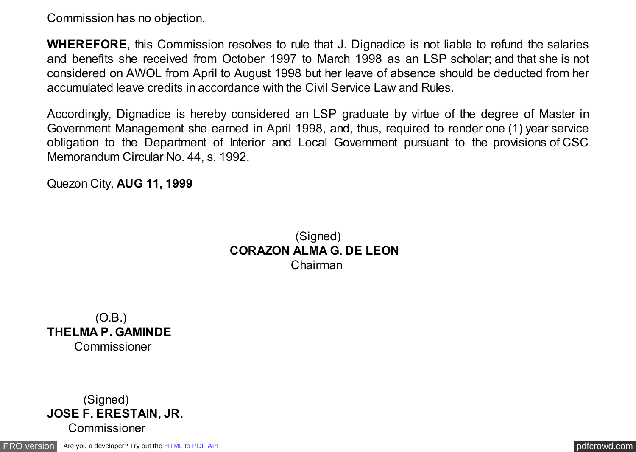Commission has no objection.

**WHEREFORE**, this Commission resolves to rule that J. Dignadice is not liable to refund the salaries and benefits she received from October 1997 to March 1998 as an LSP scholar; and that she is not considered on AWOL from April to August 1998 but her leave of absence should be deducted from her accumulated leave credits in accordance with the Civil Service Law and Rules.

Accordingly, Dignadice is hereby considered an LSP graduate by virtue of the degree of Master in Government Management she earned in April 1998, and, thus, required to render one (1) year service obligation to the Department of Interior and Local Government pursuant to the provisions of CSC Memorandum Circular No. 44, s. 1992.

Quezon City, **AUG 11, 1999**

(Signed) **CORAZON ALMA G. DE LEON** Chairman

 (O.B.) **THELMA P. GAMINDE** Commissioner